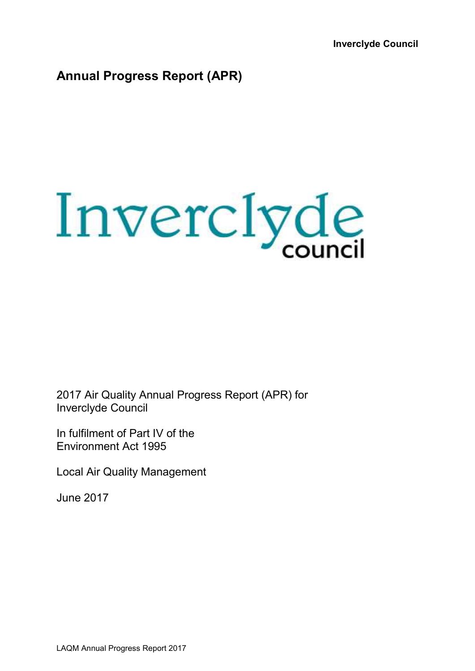**Inverclyde Council** 

# **Annual Progress Report (APR)**



2017 Air Quality Annual Progress Report (APR) for Inverclyde Council

In fulfilment of Part IV of the Environment Act 1995

Local Air Quality Management

June 2017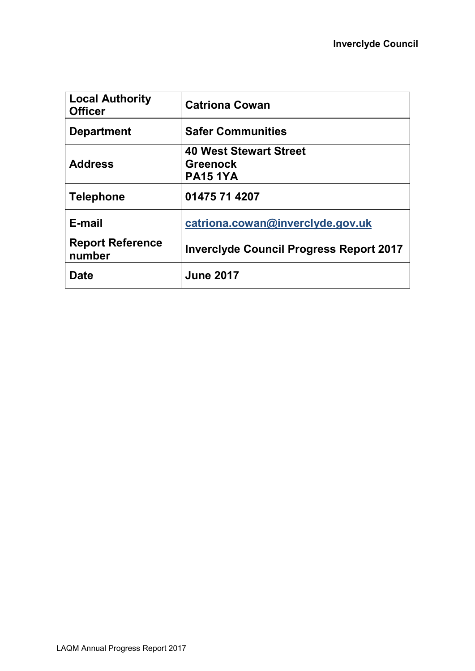| <b>Local Authority</b><br><b>Officer</b> | <b>Catriona Cowan</b>                                               |
|------------------------------------------|---------------------------------------------------------------------|
| <b>Department</b>                        | <b>Safer Communities</b>                                            |
| <b>Address</b>                           | <b>40 West Stewart Street</b><br><b>Greenock</b><br><b>PA15 1YA</b> |
| <b>Telephone</b>                         | 01475 71 4207                                                       |
| E-mail                                   | catriona.cowan@inverclyde.gov.uk                                    |
| <b>Report Reference</b><br>number        | <b>Inverclyde Council Progress Report 2017</b>                      |
| <b>Date</b>                              | <b>June 2017</b>                                                    |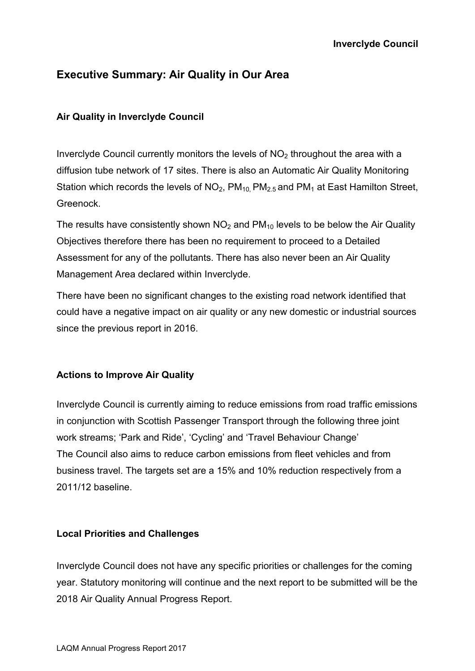## **Executive Summary: Air Quality in Our Area**

#### **Air Quality in Inverclyde Council**

Inverclyde Council currently monitors the levels of  $NO<sub>2</sub>$  throughout the area with a diffusion tube network of 17 sites. There is also an Automatic Air Quality Monitoring Station which records the levels of  $NO<sub>2</sub>$ ,  $PM<sub>10</sub>$   $PM<sub>2.5</sub>$  and  $PM<sub>1</sub>$  at East Hamilton Street, Greenock.

The results have consistently shown  $NO<sub>2</sub>$  and  $PM<sub>10</sub>$  levels to be below the Air Quality Objectives therefore there has been no requirement to proceed to a Detailed Assessment for any of the pollutants. There has also never been an Air Quality Management Area declared within Inverclyde.

There have been no significant changes to the existing road network identified that could have a negative impact on air quality or any new domestic or industrial sources since the previous report in 2016.

#### **Actions to Improve Air Quality**

Inverclyde Council is currently aiming to reduce emissions from road traffic emissions in conjunction with Scottish Passenger Transport through the following three joint work streams; 'Park and Ride', 'Cycling' and 'Travel Behaviour Change' The Council also aims to reduce carbon emissions from fleet vehicles and from business travel. The targets set are a 15% and 10% reduction respectively from a 2011/12 baseline.

#### **Local Priorities and Challenges**

Inverclyde Council does not have any specific priorities or challenges for the coming year. Statutory monitoring will continue and the next report to be submitted will be the 2018 Air Quality Annual Progress Report.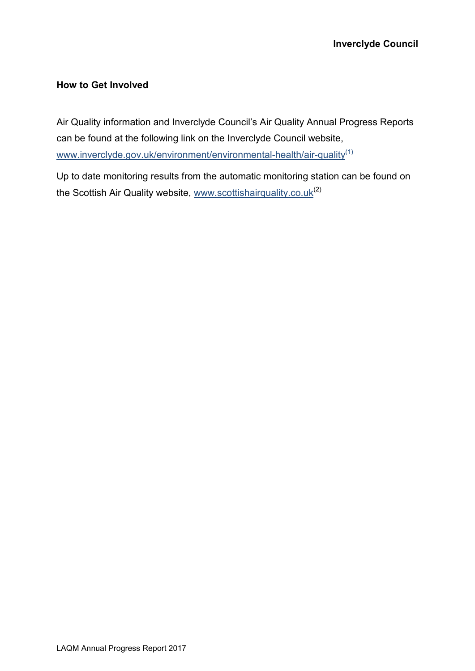#### **How to Get Involved**

Air Quality information and Inverclyde Council's Air Quality Annual Progress Reports can be found at the following link on the Inverclyde Council website, www.inverclyde.gov.uk/environment/environmental-health/air-quality<sup>(1)</sup>

Up to date monitoring results from the automatic monitoring station can be found on the Scottish Air Quality website, www.scottishairquality.co.uk<sup>(2)</sup>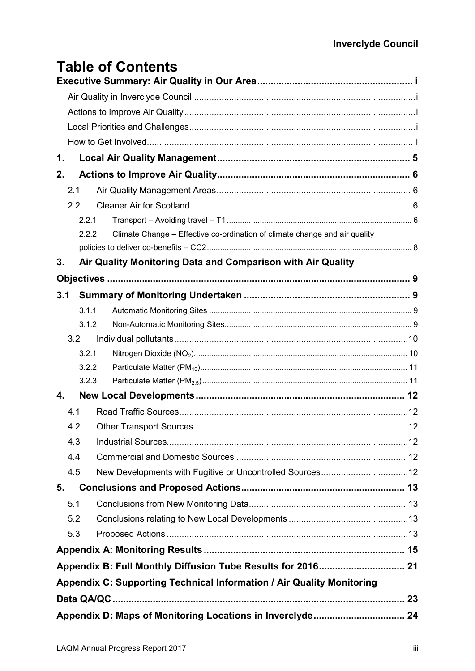# **Table of Contents**

| 1.  |       |                                                                            |  |
|-----|-------|----------------------------------------------------------------------------|--|
| 2.  |       |                                                                            |  |
| 2.1 |       |                                                                            |  |
| 2.2 |       |                                                                            |  |
|     | 2.2.1 |                                                                            |  |
|     | 2.2.2 | Climate Change - Effective co-ordination of climate change and air quality |  |
|     |       |                                                                            |  |
| 3.  |       | Air Quality Monitoring Data and Comparison with Air Quality                |  |
|     |       |                                                                            |  |
| 3.1 |       |                                                                            |  |
|     | 3.1.1 |                                                                            |  |
|     | 3.1.2 |                                                                            |  |
| 3.2 |       |                                                                            |  |
|     | 3.2.1 |                                                                            |  |
|     | 3.2.2 |                                                                            |  |
|     | 3.2.3 |                                                                            |  |
| 4.  |       |                                                                            |  |
| 4.1 |       |                                                                            |  |
| 4.2 |       |                                                                            |  |
| 4.3 |       |                                                                            |  |
| 4.4 |       |                                                                            |  |
| 4.5 |       | New Developments with Fugitive or Uncontrolled Sources12                   |  |
| 5.  |       |                                                                            |  |
| 5.1 |       |                                                                            |  |
| 5.2 |       |                                                                            |  |
| 5.3 |       |                                                                            |  |
|     |       |                                                                            |  |
|     |       | Appendix B: Full Monthly Diffusion Tube Results for 2016 21                |  |
|     |       | Appendix C: Supporting Technical Information / Air Quality Monitoring      |  |
|     |       |                                                                            |  |
|     |       | Appendix D: Maps of Monitoring Locations in Inverclyde 24                  |  |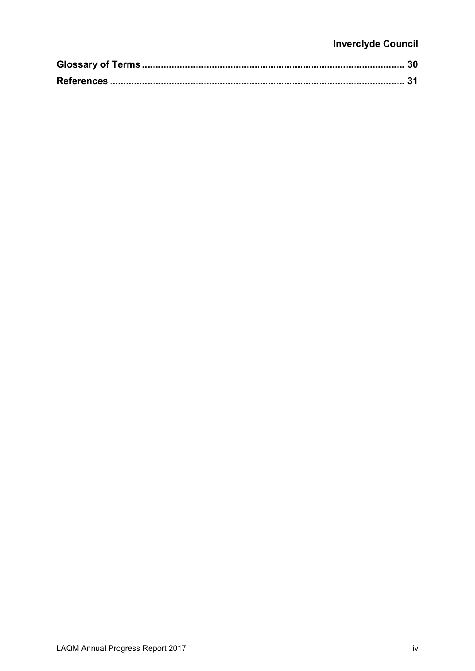## **Inverclyde Council**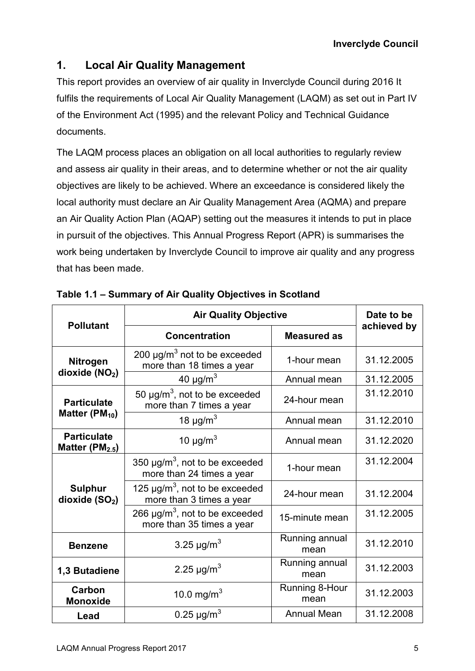## **1. Local Air Quality Management**

This report provides an overview of air quality in Inverclyde Council during 2016 It fulfils the requirements of Local Air Quality Management (LAQM) as set out in Part IV of the Environment Act (1995) and the relevant Policy and Technical Guidance documents.

The LAQM process places an obligation on all local authorities to regularly review and assess air quality in their areas, and to determine whether or not the air quality objectives are likely to be achieved. Where an exceedance is considered likely the local authority must declare an Air Quality Management Area (AQMA) and prepare an Air Quality Action Plan (AQAP) setting out the measures it intends to put in place in pursuit of the objectives. This Annual Progress Report (APR) is summarises the work being undertaken by Inverclyde Council to improve air quality and any progress that has been made.

| <b>Pollutant</b>                                                                                 | <b>Air Quality Objective</b>                                                 |                        | Date to be  |
|--------------------------------------------------------------------------------------------------|------------------------------------------------------------------------------|------------------------|-------------|
|                                                                                                  | <b>Concentration</b>                                                         | <b>Measured as</b>     | achieved by |
| <b>Nitrogen</b><br>dioxide $(NO2)$                                                               | 200 $\mu$ g/m <sup>3</sup> not to be exceeded<br>more than 18 times a year   | 1-hour mean            | 31.12.2005  |
|                                                                                                  | 40 $\mu$ g/m <sup>3</sup>                                                    | Annual mean            | 31.12.2005  |
| 50 $\mu$ g/m <sup>3</sup> , not to be exceeded<br><b>Particulate</b><br>more than 7 times a year |                                                                              | 24-hour mean           | 31.12.2010  |
| Matter ( $PM_{10}$ )                                                                             | 18 $\mu$ g/m <sup>3</sup>                                                    | Annual mean            | 31.12.2010  |
| <b>Particulate</b><br>Matter ( $PM2.5$ )                                                         | 10 $\mu$ g/m <sup>3</sup>                                                    | Annual mean            | 31.12.2020  |
|                                                                                                  | 350 $\mu$ g/m <sup>3</sup> , not to be exceeded<br>more than 24 times a year | 1-hour mean            | 31.12.2004  |
| <b>Sulphur</b><br>dioxide $(SO2)$                                                                | 125 $\mu$ g/m <sup>3</sup> , not to be exceeded<br>more than 3 times a year  | 24-hour mean           | 31.12.2004  |
|                                                                                                  | 266 $\mu$ g/m <sup>3</sup> , not to be exceeded<br>more than 35 times a year | 15-minute mean         | 31.12.2005  |
| <b>Benzene</b>                                                                                   | 3.25 $\mu$ g/m <sup>3</sup>                                                  | Running annual<br>mean | 31.12.2010  |
| 1,3 Butadiene                                                                                    | 2.25 $\mu$ g/m <sup>3</sup>                                                  | Running annual<br>mean | 31.12.2003  |
| Carbon<br><b>Monoxide</b>                                                                        | 10.0 mg/m <sup>3</sup>                                                       | Running 8-Hour<br>mean | 31.12.2003  |
| Lead                                                                                             | 0.25 $\mu$ g/m <sup>3</sup>                                                  | <b>Annual Mean</b>     | 31.12.2008  |

**Table 1.1 – Summary of Air Quality Objectives in Scotland**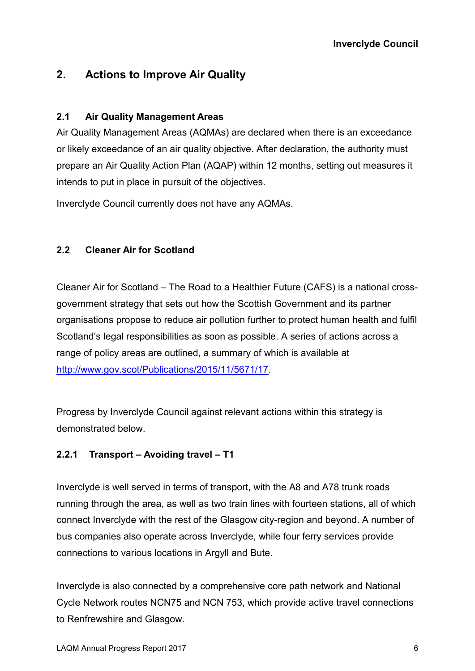## **2. Actions to Improve Air Quality**

#### **2.1 Air Quality Management Areas**

Air Quality Management Areas (AQMAs) are declared when there is an exceedance or likely exceedance of an air quality objective. After declaration, the authority must prepare an Air Quality Action Plan (AQAP) within 12 months, setting out measures it intends to put in place in pursuit of the objectives.

Inverclyde Council currently does not have any AQMAs.

### **2.2 Cleaner Air for Scotland**

Cleaner Air for Scotland – The Road to a Healthier Future (CAFS) is a national crossgovernment strategy that sets out how the Scottish Government and its partner organisations propose to reduce air pollution further to protect human health and fulfil Scotland's legal responsibilities as soon as possible. A series of actions across a range of policy areas are outlined, a summary of which is available at http://www.gov.scot/Publications/2015/11/5671/17.

Progress by Inverclyde Council against relevant actions within this strategy is demonstrated below.

### **2.2.1 Transport – Avoiding travel – T1**

Inverclyde is well served in terms of transport, with the A8 and A78 trunk roads running through the area, as well as two train lines with fourteen stations, all of which connect Inverclyde with the rest of the Glasgow city-region and beyond. A number of bus companies also operate across Inverclyde, while four ferry services provide connections to various locations in Argyll and Bute.

Inverclyde is also connected by a comprehensive core path network and National Cycle Network routes NCN75 and NCN 753, which provide active travel connections to Renfrewshire and Glasgow.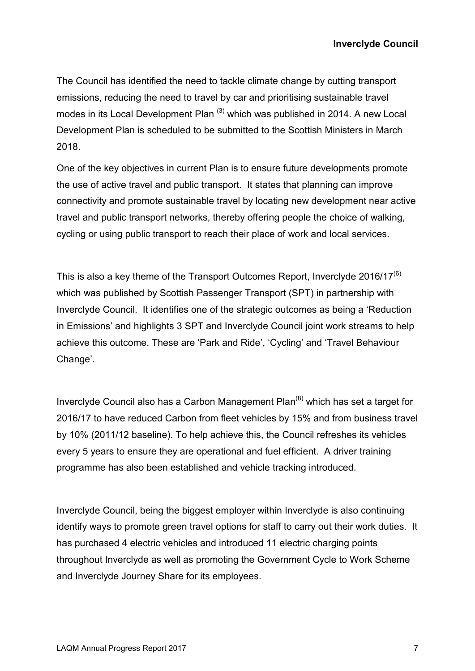The Council has identified the need to tackle climate change by cutting transport emissions, reducing the need to travel by car and prioritising sustainable travel modes in its Local Development Plan<sup>(3)</sup> which was published in 2014. A new Local Development Plan is scheduled to be submitted to the Scottish Ministers in March 2018.

One of the key objectives in current Plan is to ensure future developments promote the use of active travel and public transport. It states that planning can improve connectivity and promote sustainable travel by locating new development near active travel and public transport networks, thereby offering people the choice of walking, cycling or using public transport to reach their place of work and local services.

This is also a key theme of the Transport Outcomes Report, Inverclyde  $2016/17^{(6)}$ which was published by Scottish Passenger Transport (SPT) in partnership with Inverclyde Council. It identifies one of the strategic outcomes as being a 'Reduction in Emissions' and highlights 3 SPT and Inverclyde Council joint work streams to help achieve this outcome. These are 'Park and Ride', 'Cycling' and 'Travel Behaviour Change'.

Inverclyde Council also has a Carbon Management Plan<sup>(8)</sup> which has set a target for 2016/17 to have reduced Carbon from fleet vehicles by 15% and from business travel by 10% (2011/12 baseline). To help achieve this, the Council refreshes its vehicles every 5 years to ensure they are operational and fuel efficient. A driver training programme has also been established and vehicle tracking introduced.

Inverclyde Council, being the biggest employer within Inverclyde is also continuing identify ways to promote green travel options for staff to carry out their work duties. It has purchased 4 electric vehicles and introduced 11 electric charging points throughout Inverclyde as well as promoting the Government Cycle to Work Scheme and Inverclyde Journey Share for its employees.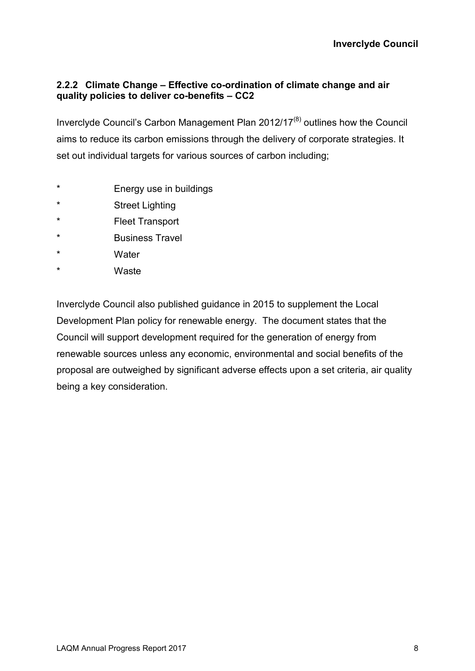#### **2.2.2 Climate Change – Effective co-ordination of climate change and air quality policies to deliver co-benefits – CC2**

Inverclyde Council's Carbon Management Plan  $2012/17^{(8)}$  outlines how the Council aims to reduce its carbon emissions through the delivery of corporate strategies. It set out individual targets for various sources of carbon including;

- \* Energy use in buildings
- \* Street Lighting
- \* Fleet Transport
- \* Business Travel
- \* Water
- \* Waste

Inverclyde Council also published guidance in 2015 to supplement the Local Development Plan policy for renewable energy. The document states that the Council will support development required for the generation of energy from renewable sources unless any economic, environmental and social benefits of the proposal are outweighed by significant adverse effects upon a set criteria, air quality being a key consideration.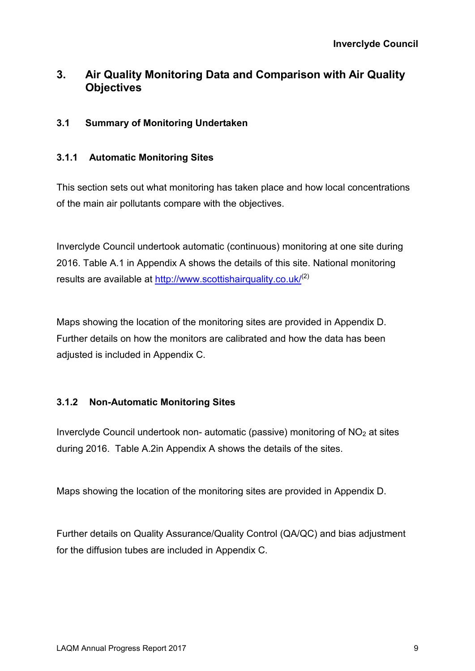## **3. Air Quality Monitoring Data and Comparison with Air Quality Objectives**

#### **3.1 Summary of Monitoring Undertaken**

#### **3.1.1 Automatic Monitoring Sites**

This section sets out what monitoring has taken place and how local concentrations of the main air pollutants compare with the objectives.

Inverclyde Council undertook automatic (continuous) monitoring at one site during 2016. Table A.1 in Appendix A shows the details of this site. National monitoring results are available at http://www.scottishairquality.co.uk/<sup>(2)</sup>

Maps showing the location of the monitoring sites are provided in Appendix D. Further details on how the monitors are calibrated and how the data has been adjusted is included in Appendix C.

#### **3.1.2 Non-Automatic Monitoring Sites**

Inverclyde Council undertook non- automatic (passive) monitoring of  $NO<sub>2</sub>$  at sites during 2016. Table A.2in Appendix A shows the details of the sites.

Maps showing the location of the monitoring sites are provided in Appendix D.

Further details on Quality Assurance/Quality Control (QA/QC) and bias adjustment for the diffusion tubes are included in Appendix C.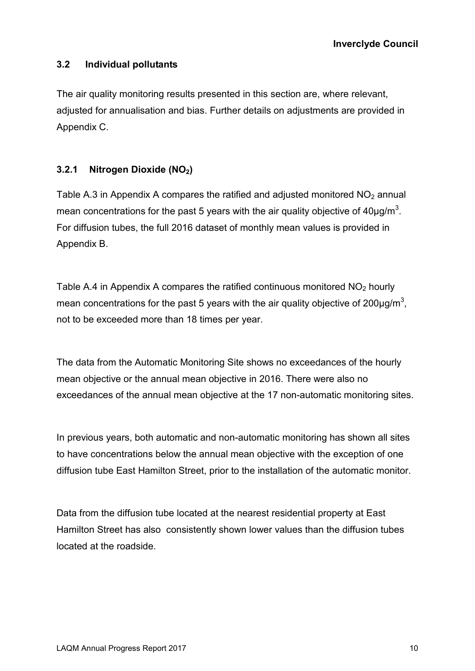#### **3.2 Individual pollutants**

The air quality monitoring results presented in this section are, where relevant, adjusted for annualisation and bias. Further details on adjustments are provided in Appendix C.

#### **3.2.1 Nitrogen Dioxide (NO2)**

Table A.3 in Appendix A compares the ratified and adjusted monitored  $NO<sub>2</sub>$  annual mean concentrations for the past 5 years with the air quality objective of  $40 \mu g/m^3$ . For diffusion tubes, the full 2016 dataset of monthly mean values is provided in Appendix B.

Table A.4 in Appendix A compares the ratified continuous monitored  $NO<sub>2</sub>$  hourly mean concentrations for the past 5 years with the air quality objective of 200 $\mu$ g/m<sup>3</sup>, not to be exceeded more than 18 times per year.

The data from the Automatic Monitoring Site shows no exceedances of the hourly mean objective or the annual mean objective in 2016. There were also no exceedances of the annual mean objective at the 17 non-automatic monitoring sites.

In previous years, both automatic and non-automatic monitoring has shown all sites to have concentrations below the annual mean objective with the exception of one diffusion tube East Hamilton Street, prior to the installation of the automatic monitor.

Data from the diffusion tube located at the nearest residential property at East Hamilton Street has also consistently shown lower values than the diffusion tubes located at the roadside.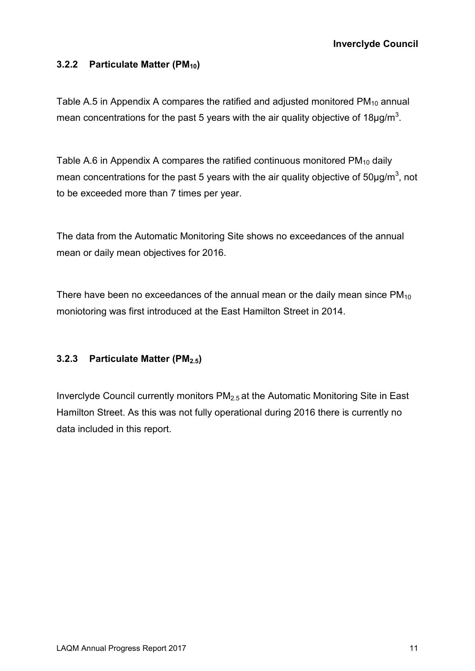#### **3.2.2 Particulate Matter (PM10)**

Table A.5 in Appendix A compares the ratified and adjusted monitored  $PM_{10}$  annual mean concentrations for the past 5 years with the air quality objective of 18 $\mu$ g/m<sup>3</sup>.

Table A.6 in Appendix A compares the ratified continuous monitored  $PM_{10}$  daily mean concentrations for the past 5 years with the air quality objective of 50 $\mu$ g/m<sup>3</sup>, not to be exceeded more than 7 times per year.

The data from the Automatic Monitoring Site shows no exceedances of the annual mean or daily mean objectives for 2016.

There have been no exceedances of the annual mean or the daily mean since  $PM_{10}$ moniotoring was first introduced at the East Hamilton Street in 2014.

### **3.2.3 Particulate Matter (PM2.5)**

Inverclyde Council currently monitors PM2.5 at the Automatic Monitoring Site in East Hamilton Street. As this was not fully operational during 2016 there is currently no data included in this report.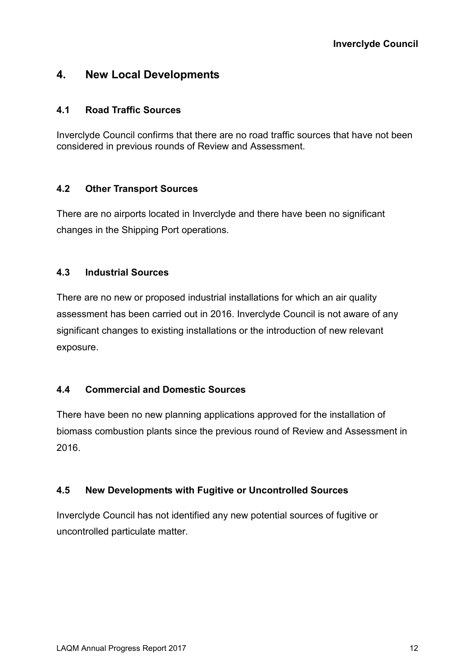### **4. New Local Developments**

#### **4.1 Road Traffic Sources**

Inverclyde Council confirms that there are no road traffic sources that have not been considered in previous rounds of Review and Assessment.

#### **4.2 Other Transport Sources**

There are no airports located in Inverclyde and there have been no significant changes in the Shipping Port operations.

#### **4.3 Industrial Sources**

There are no new or proposed industrial installations for which an air quality assessment has been carried out in 2016. Inverclyde Council is not aware of any significant changes to existing installations or the introduction of new relevant exposure.

#### **4.4 Commercial and Domestic Sources**

There have been no new planning applications approved for the installation of biomass combustion plants since the previous round of Review and Assessment in 2016.

#### **4.5 New Developments with Fugitive or Uncontrolled Sources**

Inverclyde Council has not identified any new potential sources of fugitive or uncontrolled particulate matter.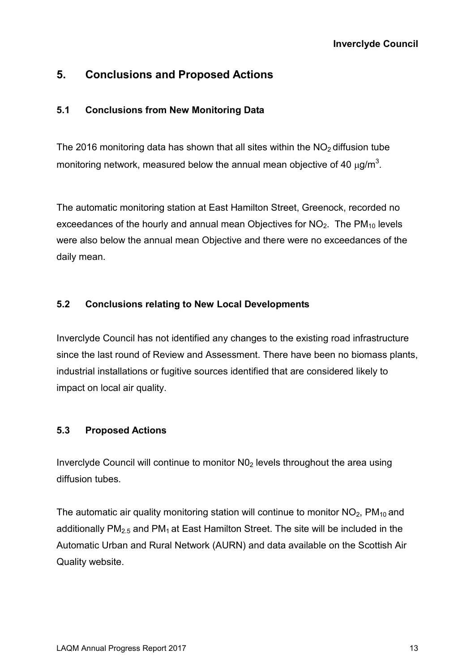## **5. Conclusions and Proposed Actions**

#### **5.1 Conclusions from New Monitoring Data**

The 2016 monitoring data has shown that all sites within the  $NO<sub>2</sub>$  diffusion tube monitoring network, measured below the annual mean objective of 40  $\mu$ g/m<sup>3</sup>.

The automatic monitoring station at East Hamilton Street, Greenock, recorded no exceedances of the hourly and annual mean Objectives for  $NO<sub>2</sub>$ . The PM<sub>10</sub> levels were also below the annual mean Objective and there were no exceedances of the daily mean.

#### **5.2 Conclusions relating to New Local Developments**

Inverclyde Council has not identified any changes to the existing road infrastructure since the last round of Review and Assessment. There have been no biomass plants, industrial installations or fugitive sources identified that are considered likely to impact on local air quality.

### **5.3 Proposed Actions**

Inverclyde Council will continue to monitor  $N_0$  levels throughout the area using diffusion tubes.

The automatic air quality monitoring station will continue to monitor  $NO<sub>2</sub>$ , PM<sub>10</sub> and additionally  $PM<sub>2.5</sub>$  and  $PM<sub>1</sub>$  at East Hamilton Street. The site will be included in the Automatic Urban and Rural Network (AURN) and data available on the Scottish Air Quality website.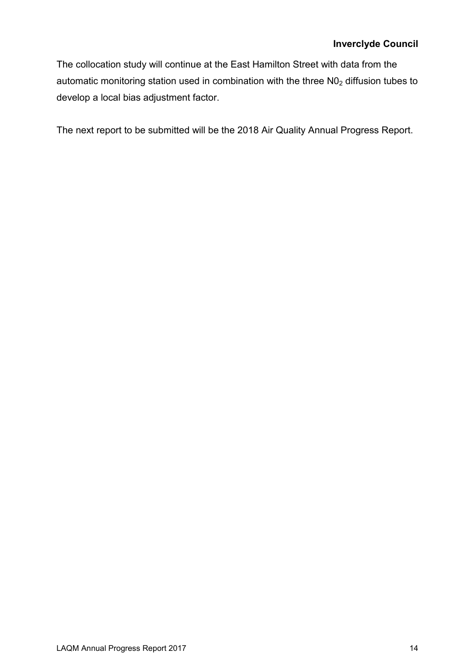#### **Inverclyde Council**

The collocation study will continue at the East Hamilton Street with data from the automatic monitoring station used in combination with the three  $NO<sub>2</sub>$  diffusion tubes to develop a local bias adjustment factor.

The next report to be submitted will be the 2018 Air Quality Annual Progress Report.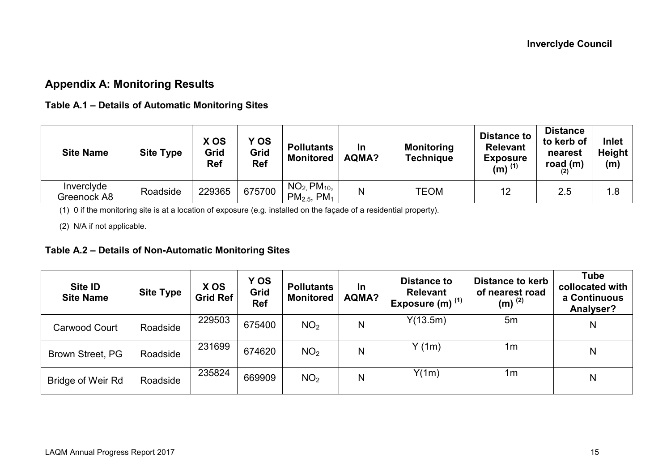## **Appendix A: Monitoring Results**

#### **Table A.1 – Details of Automatic Monitoring Sites**

| <b>Site Name</b>          | <b>Site Type</b> | X OS<br>Grid<br><b>Ref</b> | Y OS<br>Grid<br><b>Ref</b> | <b>Pollutants</b><br><b>Monitored</b>            | In<br>AQMA? | <b>Monitoring</b><br><b>Technique</b> | <b>Distance to</b><br><b>Relevant</b><br><b>Exposure</b><br>$(m)$ <sup>(1)</sup> | <b>Distance</b><br>to kerb of<br>nearest<br>road $(m)$ | Inlet<br>Height<br>(m) |
|---------------------------|------------------|----------------------------|----------------------------|--------------------------------------------------|-------------|---------------------------------------|----------------------------------------------------------------------------------|--------------------------------------------------------|------------------------|
| Inverclyde<br>Greenock A8 | Roadside         | 229365                     | 675700                     | $NO2$ , $PM10$ ,<br>$PM_{2.5}$ , PM <sub>1</sub> | N           | TEOM                                  | 12                                                                               | 2.5                                                    | 1.8                    |

(1) 0 if the monitoring site is at a location of exposure (e.g. installed on the façade of a residential property).

(2) N/A if not applicable.

#### **Table A.2 – Details of Non-Automatic Monitoring Sites**

| Site ID<br><b>Site Name</b> | <b>Site Type</b> | X OS<br>Grid Ref | Y OS<br>Grid<br><b>Ref</b> | <b>Pollutants</b><br><b>Monitored</b> | In<br>AQMA? | <b>Distance to</b><br><b>Relevant</b><br>Exposure (m) <sup>(1)</sup> | <b>Distance to kerb</b><br>of nearest road<br>$(m)^{(2)}$ | Tube<br>collocated with<br>a Continuous<br>Analyser? |
|-----------------------------|------------------|------------------|----------------------------|---------------------------------------|-------------|----------------------------------------------------------------------|-----------------------------------------------------------|------------------------------------------------------|
| Carwood Court               | Roadside         | 229503           | 675400                     | NO <sub>2</sub>                       | N           | Y(13.5m)                                                             | 5m                                                        | N                                                    |
| Brown Street, PG            | Roadside         | 231699           | 674620                     | NO <sub>2</sub>                       | N           | Y(1m)                                                                | 1m                                                        | N                                                    |
| <b>Bridge of Weir Rd</b>    | Roadside         | 235824           | 669909                     | NO <sub>2</sub>                       | N           | Y(1m)                                                                | 1m                                                        | N                                                    |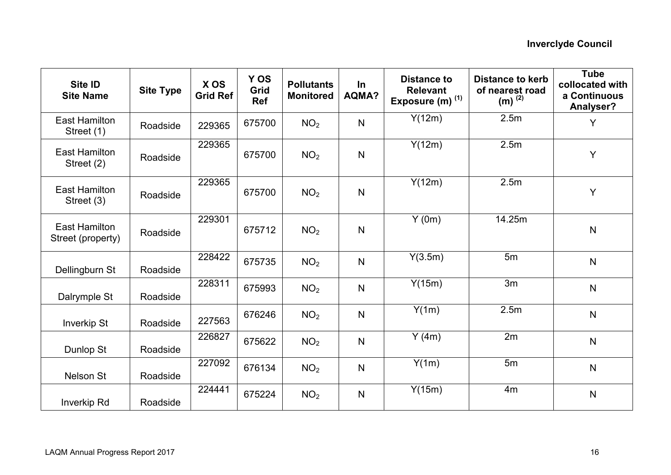| Site ID<br><b>Site Name</b>               | <b>Site Type</b> | X OS<br><b>Grid Ref</b> | Y OS<br>Grid<br><b>Ref</b> | <b>Pollutants</b><br><b>Monitored</b> | $\ln$<br><b>AQMA?</b> | <b>Distance to</b><br><b>Relevant</b><br>Exposure (m) $(1)$ | <b>Distance to kerb</b><br>of nearest road<br>$(m)^{(2)}$ | <b>Tube</b><br>collocated with<br>a Continuous<br>Analyser? |
|-------------------------------------------|------------------|-------------------------|----------------------------|---------------------------------------|-----------------------|-------------------------------------------------------------|-----------------------------------------------------------|-------------------------------------------------------------|
| <b>East Hamilton</b><br>Street (1)        | Roadside         | 229365                  | 675700                     | NO <sub>2</sub>                       | $\mathsf{N}$          | Y(12m)                                                      | 2.5m                                                      | Y                                                           |
| <b>East Hamilton</b><br>Street (2)        | Roadside         | 229365                  | 675700                     | NO <sub>2</sub>                       | N                     | Y(12m)                                                      | 2.5m                                                      |                                                             |
| <b>East Hamilton</b><br>Street (3)        | Roadside         | 229365                  | 675700                     | NO <sub>2</sub>                       | $\mathsf{N}$          | Y(12m)                                                      | 2.5m                                                      | Y                                                           |
| <b>East Hamilton</b><br>Street (property) | Roadside         | 229301                  | 675712                     | NO <sub>2</sub>                       | N                     | Y(0m)                                                       | 14.25m                                                    | $\mathsf{N}$                                                |
| Dellingburn St                            | Roadside         | 228422                  | 675735                     | NO <sub>2</sub>                       | N                     | Y(3.5m)                                                     | 5m                                                        | $\mathsf{N}$                                                |
| Dalrymple St                              | Roadside         | 228311                  | 675993                     | NO <sub>2</sub>                       | N                     | Y(15m)                                                      | 3m                                                        | $\mathsf{N}$                                                |
| <b>Inverkip St</b>                        | Roadside         | 227563                  | 676246                     | NO <sub>2</sub>                       | $\mathsf{N}$          | Y(1m)                                                       | 2.5 <sub>m</sub>                                          | $\mathsf{N}$                                                |
| Dunlop St                                 | Roadside         | 226827                  | 675622                     | NO <sub>2</sub>                       | $\mathsf{N}$          | Y(4m)                                                       | 2m                                                        | $\mathsf{N}$                                                |
| Nelson St                                 | Roadside         | 227092                  | 676134                     | NO <sub>2</sub>                       | N                     | Y(1m)                                                       | 5m                                                        | $\mathsf{N}$                                                |
| <b>Inverkip Rd</b>                        | Roadside         | 224441                  | 675224                     | NO <sub>2</sub>                       | $\mathsf{N}$          | Y(15m)                                                      | 4 <sub>m</sub>                                            | $\mathsf{N}$                                                |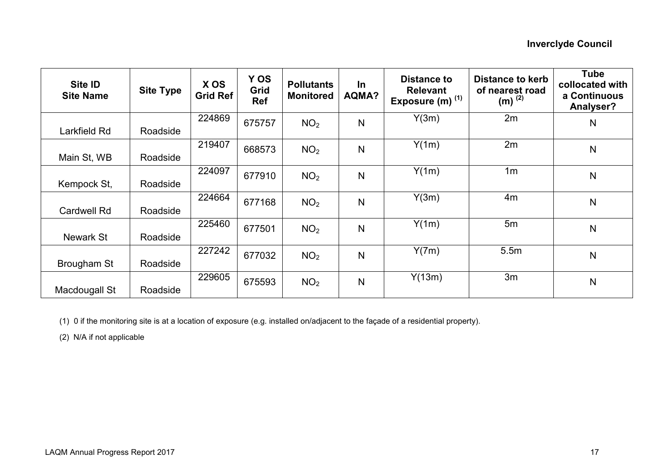| Site ID<br><b>Site Name</b> | <b>Site Type</b> | X OS<br><b>Grid Ref</b> | Y OS<br>Grid<br><b>Ref</b> | <b>Pollutants</b><br><b>Monitored</b> | <b>In</b><br>AQMA? | <b>Distance to</b><br><b>Relevant</b><br>Exposure (m) $(1)$ | <b>Distance to kerb</b><br>of nearest road<br>$(m)$ <sup>(2)</sup> | <b>Tube</b><br>collocated with<br>a Continuous<br>Analyser? |
|-----------------------------|------------------|-------------------------|----------------------------|---------------------------------------|--------------------|-------------------------------------------------------------|--------------------------------------------------------------------|-------------------------------------------------------------|
| Larkfield Rd                | Roadside         | 224869                  | 675757                     | NO <sub>2</sub>                       | N                  | Y(3m)                                                       | 2m                                                                 | N                                                           |
| Main St, WB                 | Roadside         | 219407                  | 668573                     | NO <sub>2</sub>                       | N                  | Y(1m)                                                       | 2m                                                                 | $\mathsf{N}$                                                |
| Kempock St,                 | Roadside         | 224097                  | 677910                     | NO <sub>2</sub>                       | N                  | Y(1m)                                                       | 1 <sub>m</sub>                                                     | $\mathsf{N}$                                                |
| Cardwell Rd                 | Roadside         | 224664                  | 677168                     | NO <sub>2</sub>                       | N                  | Y(3m)                                                       | 4m                                                                 | N                                                           |
| Newark St                   | Roadside         | 225460                  | 677501                     | NO <sub>2</sub>                       | N                  | Y(1m)                                                       | 5m                                                                 | $\mathsf{N}$                                                |
| Brougham St                 | Roadside         | 227242                  | 677032                     | NO <sub>2</sub>                       | N                  | Y(7m)                                                       | 5.5m                                                               | N                                                           |
| Macdougall St               | Roadside         | 229605                  | 675593                     | NO <sub>2</sub>                       | N                  | Y(13m)                                                      | 3m                                                                 | $\mathsf{N}$                                                |

(1) 0 if the monitoring site is at a location of exposure (e.g. installed on/adjacent to the façade of a residential property).

(2) N/A if not applicable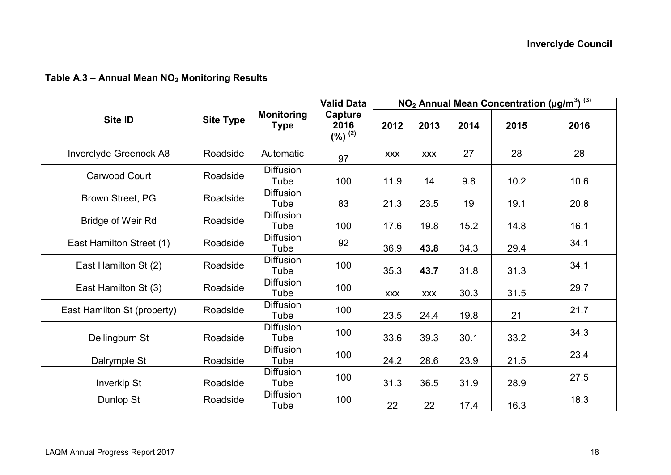#### **Table A.3 – Annual Mean NO2 Monitoring Results**

|                             |                  |                                  | <b>Valid Data</b>                  |            |            |      |      | NO <sub>2</sub> Annual Mean Concentration (µg/m <sup>3</sup> ) <sup>(3)</sup> |
|-----------------------------|------------------|----------------------------------|------------------------------------|------------|------------|------|------|-------------------------------------------------------------------------------|
| Site ID                     | <b>Site Type</b> | <b>Monitoring</b><br><b>Type</b> | Capture<br>2016<br>$($ %) $^{(2)}$ | 2012       | 2013       | 2014 | 2015 | 2016                                                                          |
| Inverclyde Greenock A8      | Roadside         | Automatic                        | 97                                 | <b>XXX</b> | <b>XXX</b> | 27   | 28   | 28                                                                            |
| Carwood Court               | Roadside         | <b>Diffusion</b><br>Tube         | 100                                | 11.9       | 14         | 9.8  | 10.2 | 10.6                                                                          |
| Brown Street, PG            | Roadside         | <b>Diffusion</b><br>Tube         | 83                                 | 21.3       | 23.5       | 19   | 19.1 | 20.8                                                                          |
| <b>Bridge of Weir Rd</b>    | Roadside         | <b>Diffusion</b><br>Tube         | 100                                | 17.6       | 19.8       | 15.2 | 14.8 | 16.1                                                                          |
| East Hamilton Street (1)    | Roadside         | <b>Diffusion</b><br>Tube         | 92                                 | 36.9       | 43.8       | 34.3 | 29.4 | 34.1                                                                          |
| East Hamilton St (2)        | Roadside         | <b>Diffusion</b><br>Tube         | 100                                | 35.3       | 43.7       | 31.8 | 31.3 | 34.1                                                                          |
| East Hamilton St (3)        | Roadside         | <b>Diffusion</b><br>Tube         | 100                                | <b>XXX</b> | <b>XXX</b> | 30.3 | 31.5 | 29.7                                                                          |
| East Hamilton St (property) | Roadside         | <b>Diffusion</b><br>Tube         | 100                                | 23.5       | 24.4       | 19.8 | 21   | 21.7                                                                          |
| Dellingburn St              | Roadside         | <b>Diffusion</b><br>Tube         | 100                                | 33.6       | 39.3       | 30.1 | 33.2 | 34.3                                                                          |
| Dalrymple St                | Roadside         | <b>Diffusion</b><br>Tube         | 100                                | 24.2       | 28.6       | 23.9 | 21.5 | 23.4                                                                          |
| <b>Inverkip St</b>          | Roadside         | <b>Diffusion</b><br>Tube         | 100                                | 31.3       | 36.5       | 31.9 | 28.9 | 27.5                                                                          |
| Dunlop St                   | Roadside         | <b>Diffusion</b><br>Tube         | 100                                | 22         | 22         | 17.4 | 16.3 | 18.3                                                                          |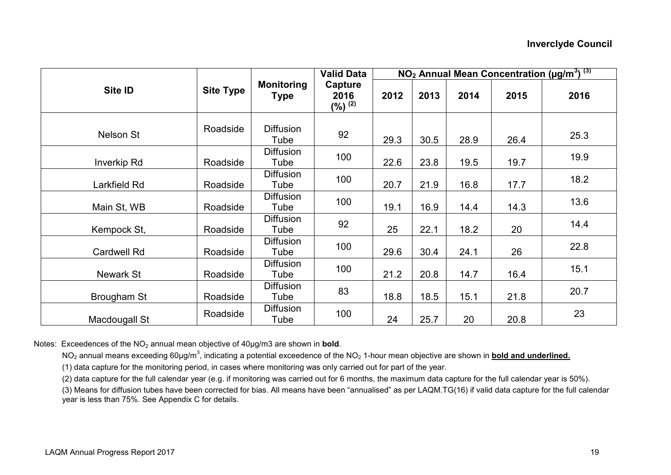|                    |                  |                           | <b>Valid Data</b>              |      |      |      |      | NO <sub>2</sub> Annual Mean Concentration (µg/m <sup>3</sup> ) <sup>(3)</sup> |
|--------------------|------------------|---------------------------|--------------------------------|------|------|------|------|-------------------------------------------------------------------------------|
| Site ID            | <b>Site Type</b> | <b>Monitoring</b><br>Type | Capture<br>2016<br>$(%)^{(2)}$ | 2012 | 2013 | 2014 | 2015 | 2016                                                                          |
| <b>Nelson St</b>   | Roadside         | <b>Diffusion</b><br>Tube  | 92                             | 29.3 | 30.5 | 28.9 | 26.4 | 25.3                                                                          |
| Inverkip Rd        | Roadside         | <b>Diffusion</b><br>Tube  | 100                            | 22.6 | 23.8 | 19.5 | 19.7 | 19.9                                                                          |
| Larkfield Rd       | Roadside         | <b>Diffusion</b><br>Tube  | 100                            | 20.7 | 21.9 | 16.8 | 17.7 | 18.2                                                                          |
| Main St, WB        | Roadside         | <b>Diffusion</b><br>Tube  | 100                            | 19.1 | 16.9 | 14.4 | 14.3 | 13.6                                                                          |
| Kempock St,        | Roadside         | <b>Diffusion</b><br>Tube  | 92                             | 25   | 22.1 | 18.2 | 20   | 14.4                                                                          |
| <b>Cardwell Rd</b> | Roadside         | <b>Diffusion</b><br>Tube  | 100                            | 29.6 | 30.4 | 24.1 | 26   | 22.8                                                                          |
| Newark St          | Roadside         | <b>Diffusion</b><br>Tube  | 100                            | 21.2 | 20.8 | 14.7 | 16.4 | 15.1                                                                          |
| Brougham St        | Roadside         | <b>Diffusion</b><br>Tube  | 83                             | 18.8 | 18.5 | 15.1 | 21.8 | 20.7                                                                          |
| Macdougall St      | Roadside         | <b>Diffusion</b><br>Tube  | 100                            | 24   | 25.7 | 20   | 20.8 | 23                                                                            |

Notes: Exceedences of the NO<sub>2</sub> annual mean objective of 40µg/m3 are shown in **bold**.

NO<sub>2</sub> annual means exceeding 60µg/m<sup>3</sup>, indicating a potential exceedence of the NO<sub>2</sub> 1-hour mean objective are shown in **bold and underlined.** 

(1) data capture for the monitoring period, in cases where monitoring was only carried out for part of the year.

(2) data capture for the full calendar year (e.g. if monitoring was carried out for 6 months, the maximum data capture for the full calendar year is 50%).

(3) Means for diffusion tubes have been corrected for bias. All means have been "annualised" as per LAQM.TG(16) if valid data capture for the full calendar year is less than 75%. See Appendix C for details.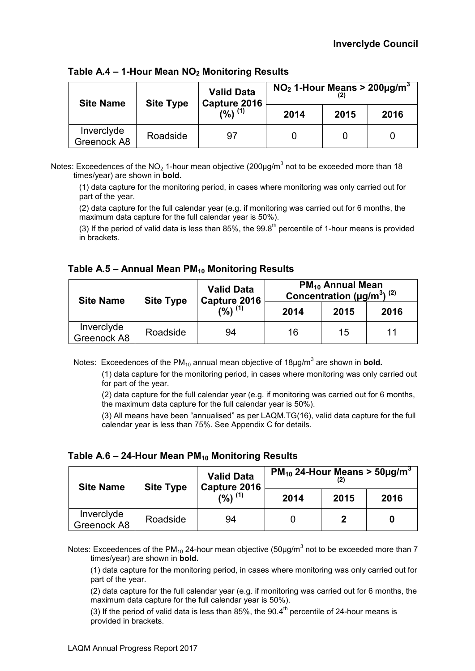| <b>Site Name</b>          | <b>Site Type</b> | <b>Valid Data</b><br>Capture 2016 | $NO2$ 1-Hour Means > 200µg/m <sup>3</sup> |      |      |  |
|---------------------------|------------------|-----------------------------------|-------------------------------------------|------|------|--|
|                           |                  | $(9/6)$ $(1)$                     | 2014                                      | 2015 | 2016 |  |
| Inverclyde<br>Greenock A8 | Roadside         | 97                                |                                           |      |      |  |

**Table A.4 – 1-Hour Mean NO2 Monitoring Results** 

Notes: Exceedences of the NO<sub>2</sub> 1-hour mean objective (200µg/m<sup>3</sup> not to be exceeded more than 18 times/year) are shown in **bold.** 

(1) data capture for the monitoring period, in cases where monitoring was only carried out for part of the year.

(2) data capture for the full calendar year (e.g. if monitoring was carried out for 6 months, the maximum data capture for the full calendar year is 50%).

(3) If the period of valid data is less than 85%, the  $99.8<sup>th</sup>$  percentile of 1-hour means is provided in brackets.

**Table A.5 – Annual Mean PM10 Monitoring Results** 

| <b>Site Name</b>          | <b>Site Type</b> | <b>Valid Data</b><br>Capture 2016 | <b>PM<sub>10</sub> Annual Mean</b><br>Concentration ( $\mu$ g/m <sup>3</sup> ) <sup>(2)</sup> |      |      |  |
|---------------------------|------------------|-----------------------------------|-----------------------------------------------------------------------------------------------|------|------|--|
|                           |                  | (%) <sup>(1)</sup>                | 2014                                                                                          | 2015 | 2016 |  |
| Inverclyde<br>Greenock A8 | Roadside         | 94                                | 16                                                                                            | 15   |      |  |

Notes: Exceedences of the PM<sub>10</sub> annual mean objective of 18µg/m<sup>3</sup> are shown in **bold.** 

 (1) data capture for the monitoring period, in cases where monitoring was only carried out for part of the year.

(2) data capture for the full calendar year (e.g. if monitoring was carried out for 6 months, the maximum data capture for the full calendar year is 50%).

(3) All means have been "annualised" as per LAQM.TG(16), valid data capture for the full calendar year is less than 75%. See Appendix C for details.

**Table A.6 – 24-Hour Mean PM10 Monitoring Results** 

| <b>Site Name</b>          | <b>Site Type</b> | <b>Valid Data</b><br>Capture 2016 | $PM_{10}$ 24-Hour Means > 50µg/m <sup>3</sup> |      |      |  |  |  |
|---------------------------|------------------|-----------------------------------|-----------------------------------------------|------|------|--|--|--|
|                           |                  | (%) <sup>(1)</sup>                | 2014                                          | 2015 | 2016 |  |  |  |
| Inverclyde<br>Greenock A8 | Roadside         | 94                                |                                               | ŋ    |      |  |  |  |

Notes: Exceedences of the PM<sub>10</sub> 24-hour mean objective (50µg/m<sup>3</sup> not to be exceeded more than 7 times/year) are shown in **bold.** 

(1) data capture for the monitoring period, in cases where monitoring was only carried out for part of the year.

(2) data capture for the full calendar year (e.g. if monitoring was carried out for 6 months, the maximum data capture for the full calendar year is 50%).

(3) If the period of valid data is less than 85%, the  $90.4<sup>th</sup>$  percentile of 24-hour means is provided in brackets.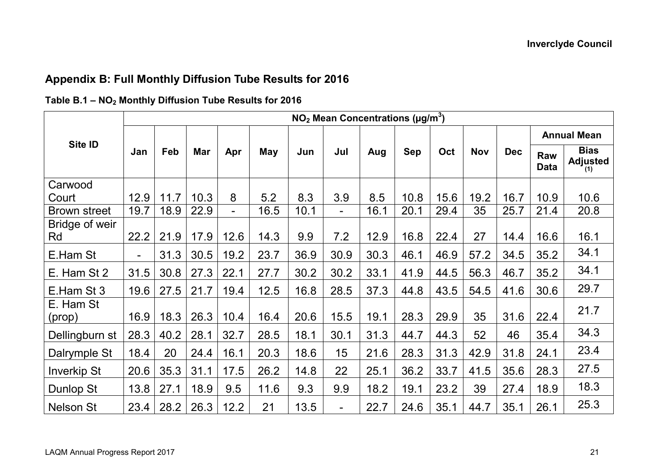## **Appendix B: Full Monthly Diffusion Tube Results for 2016**

|                      | $NO2$ Mean Concentrations ( $\mu$ g/m <sup>3</sup> ) |      |      |                |      |      |                          |      |            |      |            |            |                    |                                       |
|----------------------|------------------------------------------------------|------|------|----------------|------|------|--------------------------|------|------------|------|------------|------------|--------------------|---------------------------------------|
|                      | Jan                                                  | Feb  | Mar  | Apr            | May  | Jun  | Jul                      | Aug  | <b>Sep</b> | Oct  | <b>Nov</b> | <b>Dec</b> | <b>Annual Mean</b> |                                       |
| Site ID              |                                                      |      |      |                |      |      |                          |      |            |      |            |            | Raw<br><b>Data</b> | <b>Bias</b><br><b>Adjusted</b><br>(1) |
| Carwood<br>Court     | 12.9                                                 | 11.7 | 10.3 | 8              | 5.2  | 8.3  | 3.9                      | 8.5  | 10.8       | 15.6 | 19.2       | 16.7       | 10.9               | 10.6                                  |
| <b>Brown street</b>  | 19.7                                                 | 18.9 | 22.9 | $\blacksquare$ | 16.5 | 10.1 | $\overline{\phantom{0}}$ | 16.1 | 20.1       | 29.4 | 35         | 25.7       | 21.4               | 20.8                                  |
| Bridge of weir<br>Rd | 22.2                                                 | 21.9 | 17.9 | 12.6           | 14.3 | 9.9  | 7.2                      | 12.9 | 16.8       | 22.4 | 27         | 14.4       | 16.6               | 16.1                                  |
| E.Ham St             | $\blacksquare$                                       | 31.3 | 30.5 | 19.2           | 23.7 | 36.9 | 30.9                     | 30.3 | 46.1       | 46.9 | 57.2       | 34.5       | 35.2               | 34.1                                  |
| E. Ham St 2          | 31.5                                                 | 30.8 | 27.3 | 22.1           | 27.7 | 30.2 | 30.2                     | 33.1 | 41.9       | 44.5 | 56.3       | 46.7       | 35.2               | 34.1                                  |
| E.Ham St 3           | 19.6                                                 | 27.5 | 21.7 | 19.4           | 12.5 | 16.8 | 28.5                     | 37.3 | 44.8       | 43.5 | 54.5       | 41.6       | 30.6               | 29.7                                  |
| E. Ham St<br>(prop)  | 16.9                                                 | 18.3 | 26.3 | 10.4           | 16.4 | 20.6 | 15.5                     | 19.1 | 28.3       | 29.9 | 35         | 31.6       | 22.4               | 21.7                                  |
| Dellingburn st       | 28.3                                                 | 40.2 | 28.1 | 32.7           | 28.5 | 18.1 | 30.1                     | 31.3 | 44.7       | 44.3 | 52         | 46         | 35.4               | 34.3                                  |
| Dalrymple St         | 18.4                                                 | 20   | 24.4 | 16.1           | 20.3 | 18.6 | 15                       | 21.6 | 28.3       | 31.3 | 42.9       | 31.8       | 24.1               | 23.4                                  |
| <b>Inverkip St</b>   | 20.6                                                 | 35.3 | 31.1 | 17.5           | 26.2 | 14.8 | 22                       | 25.1 | 36.2       | 33.7 | 41.5       | 35.6       | 28.3               | 27.5                                  |
| Dunlop St            | 13.8                                                 | 27.1 | 18.9 | 9.5            | 11.6 | 9.3  | 9.9                      | 18.2 | 19.1       | 23.2 | 39         | 27.4       | 18.9               | 18.3                                  |
| <b>Nelson St</b>     | 23.4                                                 | 28.2 | 26.3 | 12.2           | 21   | 13.5 | $\overline{\phantom{0}}$ | 22.7 | 24.6       | 35.1 | 44.7       | 35.1       | 26.1               | 25.3                                  |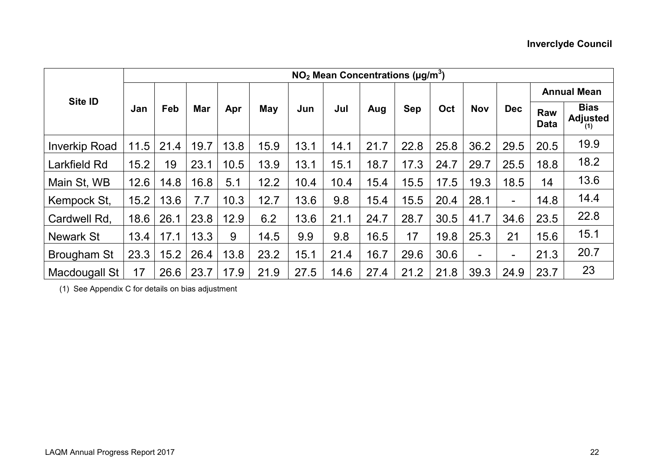|                      | $NO2$ Mean Concentrations ( $\mu$ g/m <sup>3</sup> ) |      |      |      |      |      |      |      |            |      |            |                          |                           |                                       |
|----------------------|------------------------------------------------------|------|------|------|------|------|------|------|------------|------|------------|--------------------------|---------------------------|---------------------------------------|
| Site ID              | Jan                                                  | Feb  | Mar  | Apr  | May  | Jun  | Jul  | Aug  | <b>Sep</b> | Oct  | <b>Nov</b> | <b>Dec</b>               | <b>Annual Mean</b>        |                                       |
|                      |                                                      |      |      |      |      |      |      |      |            |      |            |                          | <b>Raw</b><br><b>Data</b> | <b>Bias</b><br><b>Adjusted</b><br>(1) |
| <b>Inverkip Road</b> | 11.5                                                 | 21.4 | 19.7 | 13.8 | 15.9 | 13.1 | 14.1 | 21.7 | 22.8       | 25.8 | 36.2       | 29.5                     | 20.5                      | 19.9                                  |
| Larkfield Rd         | 15.2                                                 | 19   | 23.1 | 10.5 | 13.9 | 13.1 | 15.1 | 18.7 | 17.3       | 24.7 | 29.7       | 25.5                     | 18.8                      | 18.2                                  |
| Main St, WB          | 12.6                                                 | 14.8 | 16.8 | 5.1  | 12.2 | 10.4 | 10.4 | 15.4 | 15.5       | 17.5 | 19.3       | 18.5                     | 14                        | 13.6                                  |
| Kempock St,          | 15.2                                                 | 13.6 | 7.7  | 10.3 | 12.7 | 13.6 | 9.8  | 15.4 | 15.5       | 20.4 | 28.1       | $\overline{\phantom{a}}$ | 14.8                      | 14.4                                  |
| Cardwell Rd.         | 18.6                                                 | 26.1 | 23.8 | 12.9 | 6.2  | 13.6 | 21.1 | 24.7 | 28.7       | 30.5 | 41.7       | 34.6                     | 23.5                      | 22.8                                  |
| <b>Newark St</b>     | 13.4                                                 | 17.1 | 13.3 | 9    | 14.5 | 9.9  | 9.8  | 16.5 | 17         | 19.8 | 25.3       | 21                       | 15.6                      | 15.1                                  |
| Brougham St          | 23.3                                                 | 15.2 | 26.4 | 13.8 | 23.2 | 15.1 | 21.4 | 16.7 | 29.6       | 30.6 | Ξ.         | $\overline{\phantom{a}}$ | 21.3                      | 20.7                                  |
| Macdougall St        | 17                                                   | 26.6 | 23.7 | 17.9 | 21.9 | 27.5 | 14.6 | 27.4 | 21.2       | 21.8 | 39.3       | 24.9                     | 23.7                      | 23                                    |

(1) See Appendix C for details on bias adjustment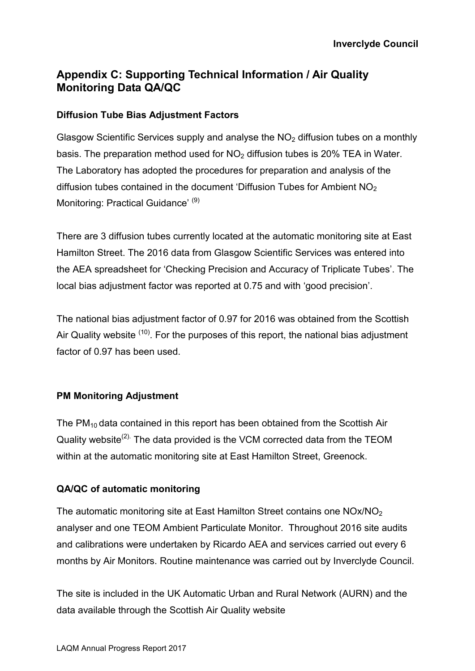## **Appendix C: Supporting Technical Information / Air Quality Monitoring Data QA/QC**

#### **Diffusion Tube Bias Adjustment Factors**

Glasgow Scientific Services supply and analyse the  $NO<sub>2</sub>$  diffusion tubes on a monthly basis. The preparation method used for  $NO<sub>2</sub>$  diffusion tubes is 20% TEA in Water. The Laboratory has adopted the procedures for preparation and analysis of the diffusion tubes contained in the document 'Diffusion Tubes for Ambient  $NO<sub>2</sub>$ Monitoring: Practical Guidance<sup>' (9)</sup>

There are 3 diffusion tubes currently located at the automatic monitoring site at East Hamilton Street. The 2016 data from Glasgow Scientific Services was entered into the AEA spreadsheet for 'Checking Precision and Accuracy of Triplicate Tubes'. The local bias adjustment factor was reported at 0.75 and with 'good precision'.

The national bias adjustment factor of 0.97 for 2016 was obtained from the Scottish Air Quality website <sup>(10)</sup>. For the purposes of this report, the national bias adjustment factor of 0.97 has been used.

#### **PM Monitoring Adjustment**

The  $PM_{10}$  data contained in this report has been obtained from the Scottish Air Quality website<sup>(2).</sup> The data provided is the VCM corrected data from the TEOM within at the automatic monitoring site at East Hamilton Street, Greenock.

### **QA/QC of automatic monitoring**

The automatic monitoring site at East Hamilton Street contains one NOx/NO<sub>2</sub> analyser and one TEOM Ambient Particulate Monitor. Throughout 2016 site audits and calibrations were undertaken by Ricardo AEA and services carried out every 6 months by Air Monitors. Routine maintenance was carried out by Inverclyde Council.

The site is included in the UK Automatic Urban and Rural Network (AURN) and the data available through the Scottish Air Quality website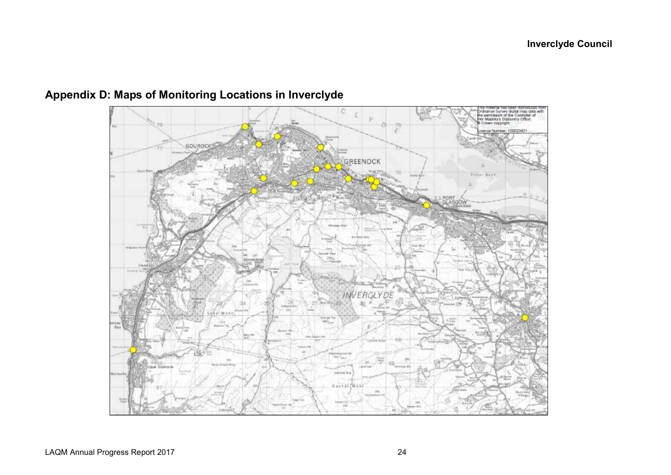

# **Appendix D: Maps of Monitoring Locations in Inverclyde**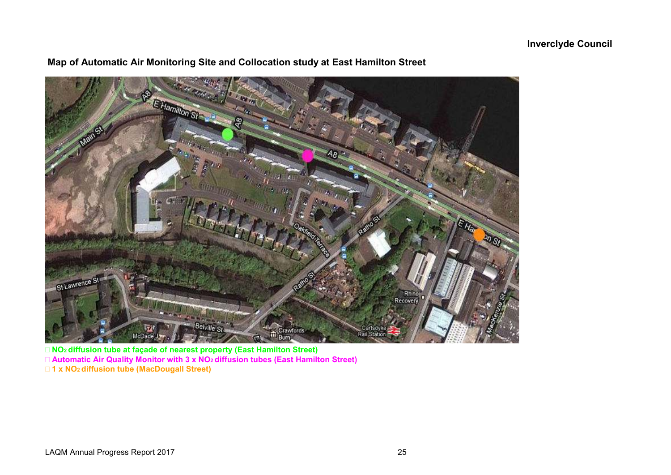

## **Map of Automatic Air Monitoring Site and Collocation study at East Hamilton Street**

 **NO2 diffusion tube at façade of nearest property (East Hamilton Street) Automatic Air Quality Monitor with 3 x NO2 diffusion tubes (East Hamilton Street) 1 x NO2 diffusion tube (MacDougall Street)**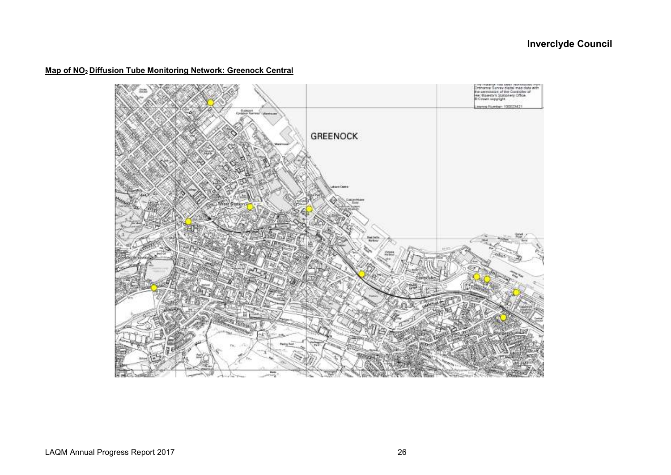#### **Map of NO2 Diffusion Tube Monitoring Network: Greenock Central**

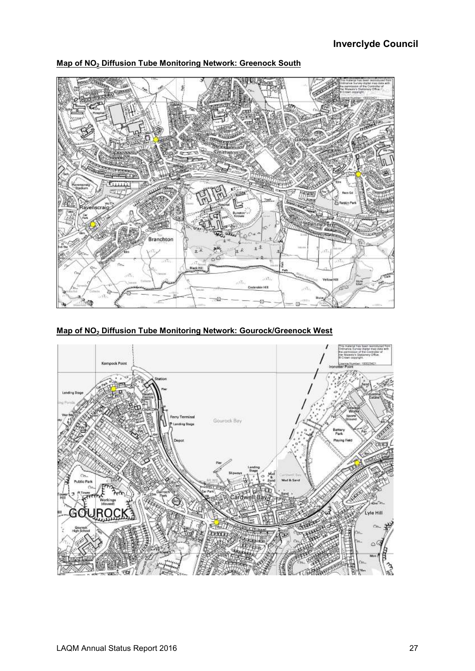

**Map of NO2 Diffusion Tube Monitoring Network: Greenock South** 

**Map of NO2 Diffusion Tube Monitoring Network: Gourock/Greenock West** 

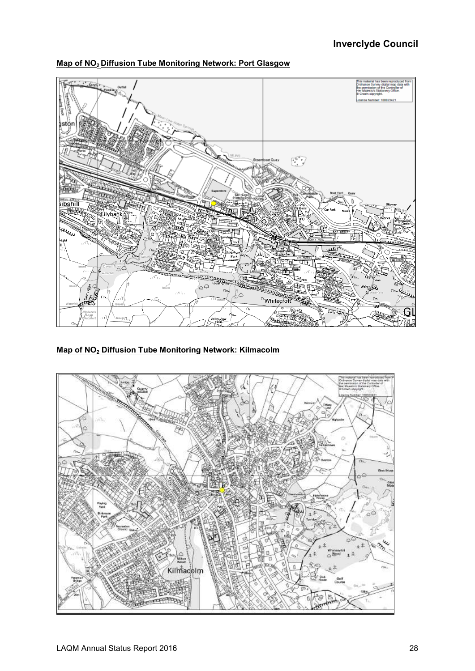



**Map of NO2 Diffusion Tube Monitoring Network: Kilmacolm** 

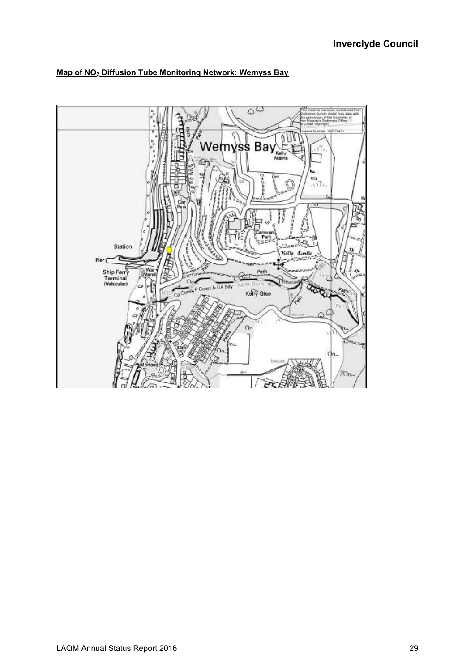

#### **Map of NO2 Diffusion Tube Monitoring Network: Wemyss Bay**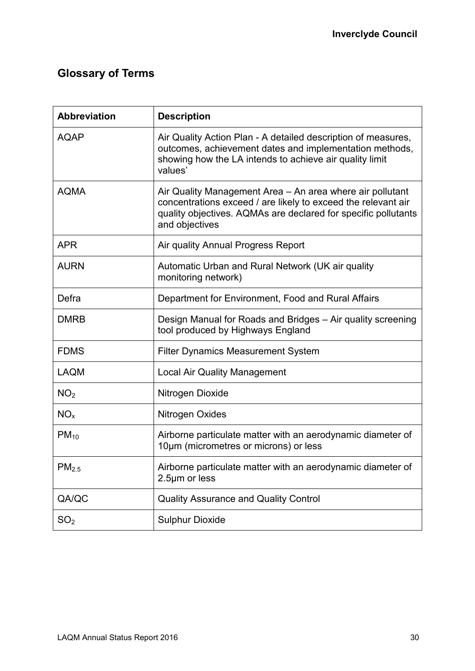# **Glossary of Terms**

| <b>Abbreviation</b> | <b>Description</b>                                                                                                                                                                                             |
|---------------------|----------------------------------------------------------------------------------------------------------------------------------------------------------------------------------------------------------------|
| <b>AQAP</b>         | Air Quality Action Plan - A detailed description of measures,<br>outcomes, achievement dates and implementation methods,<br>showing how the LA intends to achieve air quality limit<br>values'                 |
| <b>AQMA</b>         | Air Quality Management Area – An area where air pollutant<br>concentrations exceed / are likely to exceed the relevant air<br>quality objectives. AQMAs are declared for specific pollutants<br>and objectives |
| <b>APR</b>          | Air quality Annual Progress Report                                                                                                                                                                             |
| <b>AURN</b>         | Automatic Urban and Rural Network (UK air quality<br>monitoring network)                                                                                                                                       |
| Defra               | Department for Environment, Food and Rural Affairs                                                                                                                                                             |
| <b>DMRB</b>         | Design Manual for Roads and Bridges - Air quality screening<br>tool produced by Highways England                                                                                                               |
| <b>FDMS</b>         | <b>Filter Dynamics Measurement System</b>                                                                                                                                                                      |
| <b>LAQM</b>         | <b>Local Air Quality Management</b>                                                                                                                                                                            |
| NO <sub>2</sub>     | Nitrogen Dioxide                                                                                                                                                                                               |
| NO <sub>x</sub>     | Nitrogen Oxides                                                                                                                                                                                                |
| $PM_{10}$           | Airborne particulate matter with an aerodynamic diameter of<br>10µm (micrometres or microns) or less                                                                                                           |
| PM <sub>2.5</sub>   | Airborne particulate matter with an aerodynamic diameter of<br>2.5µm or less                                                                                                                                   |
| QA/QC               | Quality Assurance and Quality Control                                                                                                                                                                          |
| SO <sub>2</sub>     | <b>Sulphur Dioxide</b>                                                                                                                                                                                         |